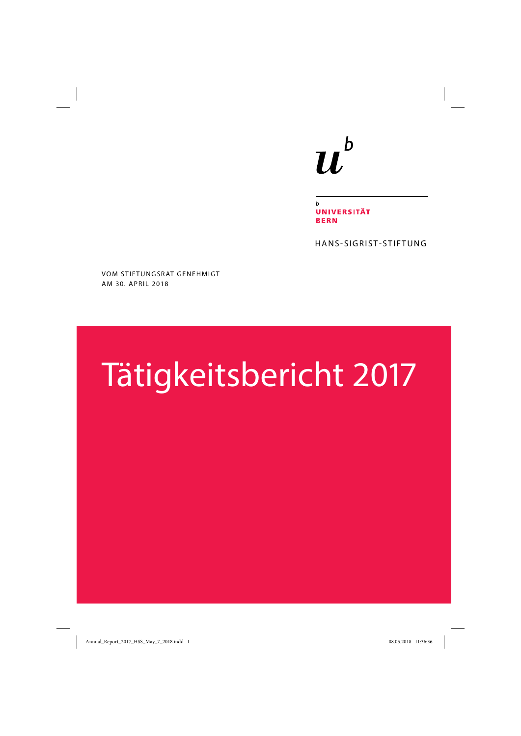# $\boldsymbol{u}^{\textit{b}}$

 $\mathbf b$ **UNIVERSITÄT BERN** 

HANS-SIGRIST-STIFTUNG

VOM STIFTUNGSRAT GENEHMIGT AM 30. APRIL 2018

## Tätigkeitsbericht 2017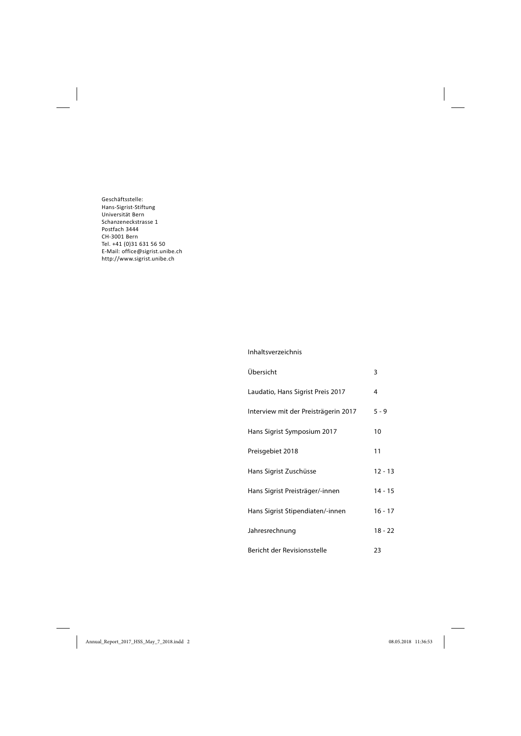Geschäftsstelle: Hans-Sigrist-Stiftung Universität Bern Schanzeneckstrasse 1 Postfach 3444 CH3001 Bern Tel. +41 (0)31 631 56 50 EMail: office@sigrist.unibe.ch http://www.sigrist.unibe.ch

#### Inhaltsverzeichnis

| Übersicht                            | 3         |
|--------------------------------------|-----------|
| Laudatio, Hans Sigrist Preis 2017    | 4         |
| Interview mit der Preisträgerin 2017 | $5 - 9$   |
| Hans Sigrist Symposium 2017          | 10        |
| Preisgebiet 2018                     | 11        |
| Hans Sigrist Zuschüsse               | $12 - 13$ |
| Hans Sigrist Preisträger/-innen      | $14 - 15$ |
| Hans Sigrist Stipendiaten/-innen     | $16 - 17$ |
| Jahresrechnung                       | $18 - 22$ |
| Bericht der Revisionsstelle          | 23        |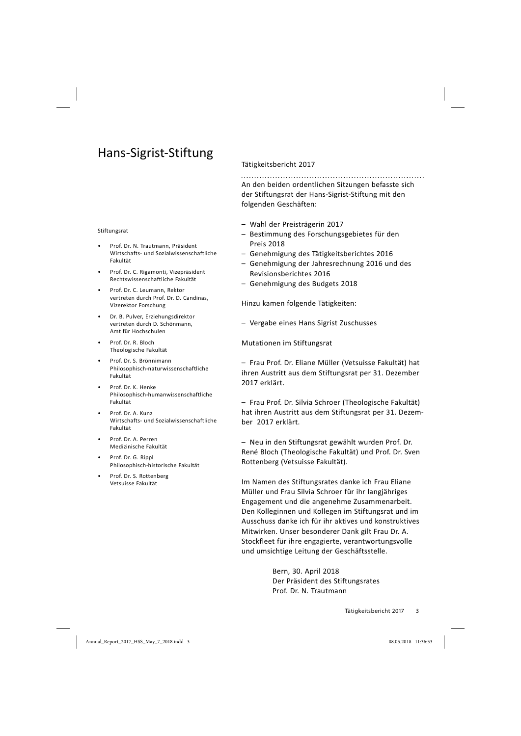## Hans-Sigrist-Stiftung

#### Stiftungsrat

- Prof. Dr. N. Trautmann, Präsident Wirtschafts- und Sozialwissenschaftliche Fakultät
- Prof. Dr. C. Rigamonti, Vizepräsident Rechtswissenschaftliche Fakultät
- Prof. Dr. C. Leumann, Rektor vertreten durch Prof. Dr. D. Candinas, Vizerektor Forschung
- Dr. B. Pulver, Erziehungsdirektor vertreten durch D. Schönmann, Amt für Hochschulen
- Prof. Dr. R. Bloch Theologische Fakultät
- Prof. Dr. S. Brönnimann Philosophisch-naturwissenschaftliche Fakultät
- Prof. Dr. K. Henke Philosophisch-humanwissenschaftliche Fakultät
- Prof. Dr. A. Kunz Wirtschafts- und Sozialwissenschaftliche Fakultät
- Prof. Dr. A. Perren Medizinische Fakultät
- Prof. Dr. G. Rippl Philosophisch-historische Fakultät
- Prof. Dr. S. Rottenberg Vetsuisse Fakultät

#### Tätigkeitsbericht 2017

An den beiden ordentlichen Sitzungen befasste sich der Stiftungsrat der Hans-Sigrist-Stiftung mit den folgenden Geschäften:

- Wahl der Preisträgerin 2017
- Bestimmung des Forschungsgebietes für den Preis 2018
- Genehmigung des Tätigkeitsberichtes 2016
- Genehmigung der Jahresrechnung 2016 und des Revisionsberichtes 2016
- Genehmigung des Budgets 2018

Hinzu kamen folgende Tätigkeiten:

– Vergabe eines Hans Sigrist Zuschusses

Mutationen im Stiftungsrat

– Frau Prof. Dr. Eliane Müller (Vetsuisse Fakultät) hat ihren Austritt aus dem Stiftungsrat per 31. Dezember 2017 erklärt.

– Frau Prof. Dr. Silvia Schroer (Theologische Fakultät) hat ihren Austritt aus dem Stiftungsrat per 31. Dezember 2017 erklärt.

– Neu in den Stiftungsrat gewählt wurden Prof. Dr. René Bloch (Theologische Fakultät) und Prof. Dr. Sven Rottenberg (Vetsuisse Fakultät).

Im Namen des Stiftungsrates danke ich Frau Eliane Müller und Frau Silvia Schroer für ihr langjähriges Engagement und die angenehme Zusammenarbeit. Den Kolleginnen und Kollegen im Stiftungsrat und im Ausschuss danke ich für ihr aktives und konstruktives Mitwirken. Unser besonderer Dank gilt Frau Dr. A. Stockfleet für ihre engagierte, verantwortungsvolle und umsichtige Leitung der Geschäftsstelle.

> Bern, 30. April 2018 Der Präsident des Stiftungsrates Prof. Dr. N. Trautmann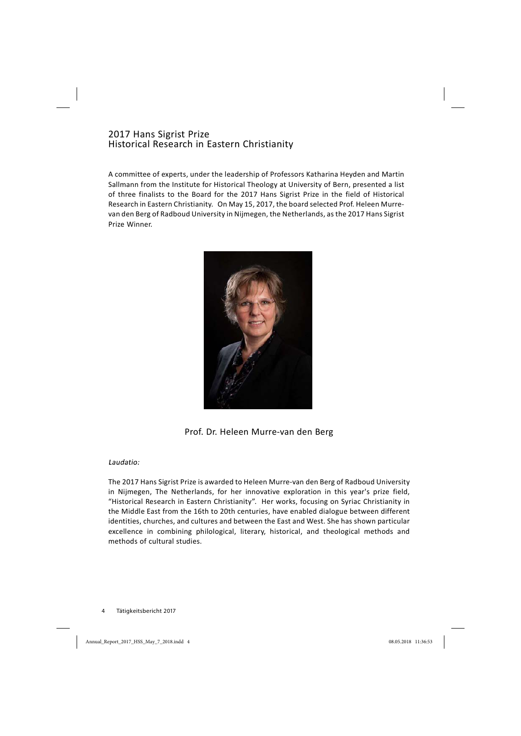## 2017 Hans Sigrist Prize Historical Research in Eastern Christianity

A committee of experts, under the leadership of Professors Katharina Heyden and Martin Sallmann from the Institute for Historical Theology at University of Bern, presented a list of three finalists to the Board for the 2017 Hans Sigrist Prize in the field of Historical Research in Eastern Christianity. On May 15, 2017, the board selected Prof. Heleen Murrevan den Berg of Radboud University in Nijmegen, the Netherlands, as the 2017 Hans Sigrist Prize Winner.



Prof. Dr. Heleen Murre-van den Berg

#### Laudatio:

The 2017 Hans Sigrist Prize is awarded to Heleen Murre-van den Berg of Radboud University in Nijmegen, The Netherlands, for her innovative exploration in this year's prize field, "Historical Research in Eastern Christianity". Her works, focusing on Syriac Christianity in the Middle East from the 16th to 20th centuries, have enabled dialogue between different identities, churches, and cultures and between the East and West. She has shown particular excellence in combining philological, literary, historical, and theological methods and methods of cultural studies.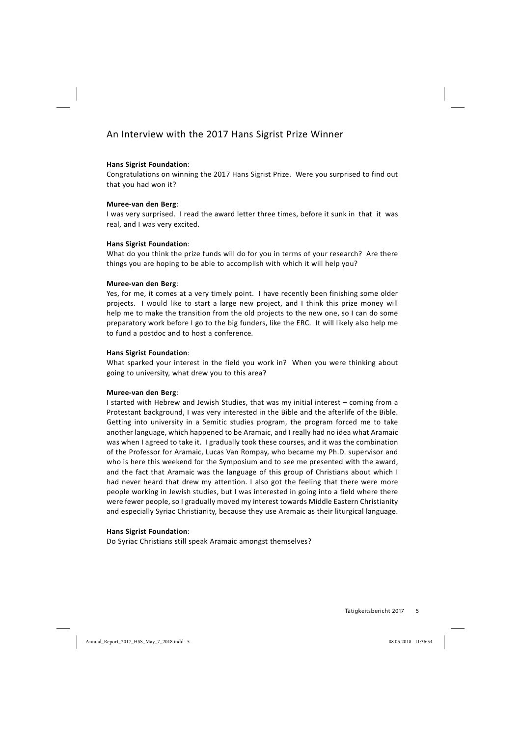## An Interview with the 2017 Hans Sigrist Prize Winner

#### **Hans Sigrist Foundation**:

Congratulations on winning the 2017 Hans Sigrist Prize. Were you surprised to find out that you had won it?

#### **Muree-van den Berg**:

I was very surprised. I read the award letter three times, before it sunk in that it was real, and I was very excited.

#### **Hans Sigrist Foundation**:

What do you think the prize funds will do for you in terms of your research? Are there things you are hoping to be able to accomplish with which it will help you?

#### **Muree-van den Berg**:

Yes, for me, it comes at a very timely point. I have recently been finishing some older projects. I would like to start a large new project, and I think this prize money will help me to make the transition from the old projects to the new one, so I can do some preparatory work before I go to the big funders, like the ERC. It will likely also help me to fund a postdoc and to host a conference.

#### **Hans Sigrist Foundation**:

What sparked your interest in the field you work in? When you were thinking about going to university, what drew you to this area?

#### **Muree-van den Berg**:

I started with Hebrew and Jewish Studies, that was my initial interest – coming from a Protestant background, I was very interested in the Bible and the afterlife of the Bible. Getting into university in a Semitic studies program, the program forced me to take another language, which happened to be Aramaic, and I really had no idea what Aramaic was when I agreed to take it. I gradually took these courses, and it was the combination of the Professor for Aramaic, Lucas Van Rompay, who became my Ph.D. supervisor and who is here this weekend for the Symposium and to see me presented with the award, and the fact that Aramaic was the language of this group of Christians about which I had never heard that drew my attention. I also got the feeling that there were more people working in Jewish studies, but I was interested in going into a field where there were fewer people, so I gradually moved my interest towards Middle Eastern Christianity and especially Syriac Christianity, because they use Aramaic as their liturgical language.

#### **Hans Sigrist Foundation**:

Do Syriac Christians still speak Aramaic amongst themselves?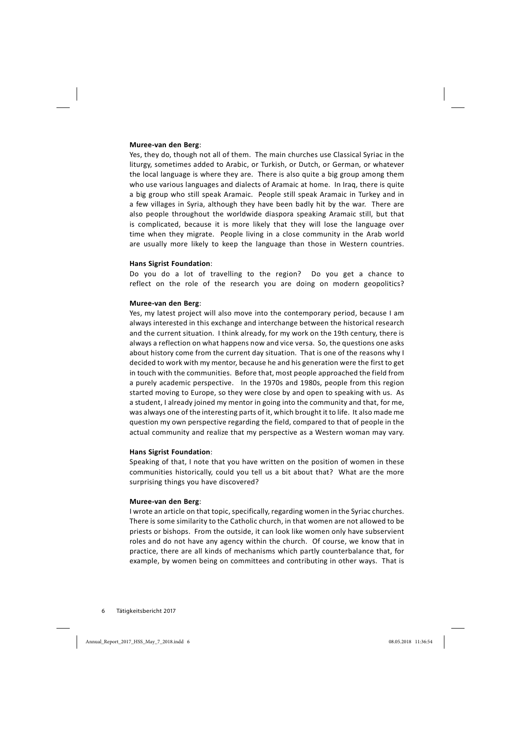#### **Muree-van den Berg**:

Yes, they do, though not all of them. The main churches use Classical Syriac in the liturgy, sometimes added to Arabic, or Turkish, or Dutch, or German, or whatever the local language is where they are. There is also quite a big group among them who use various languages and dialects of Aramaic at home. In Iraq, there is quite a big group who still speak Aramaic. People still speak Aramaic in Turkey and in a few villages in Syria, although they have been badly hit by the war. There are also people throughout the worldwide diaspora speaking Aramaic still, but that is complicated, because it is more likely that they will lose the language over time when they migrate. People living in a close community in the Arab world are usually more likely to keep the language than those in Western countries.

#### **Hans Sigrist Foundation**:

Do you do a lot of travelling to the region? Do you get a chance to reflect on the role of the research you are doing on modern geopolitics?

#### **Muree-van den Berg**:

Yes, my latest project will also move into the contemporary period, because I am always interested in this exchange and interchange between the historical research and the current situation. I think already, for my work on the 19th century, there is always a reflection on what happens now and vice versa. So, the questions one asks about history come from the current day situation. That is one of the reasons why I decided to work with my mentor, because he and his generation were the first to get in touch with the communities. Before that, most people approached the field from a purely academic perspective. In the 1970s and 1980s, people from this region started moving to Europe, so they were close by and open to speaking with us. As a student, I already joined my mentor in going into the community and that, for me, was always one of the interesting parts of it, which brought it to life. It also made me question my own perspective regarding the field, compared to that of people in the actual community and realize that my perspective as a Western woman may vary.

#### **Hans Sigrist Foundation**:

Speaking of that, I note that you have written on the position of women in these communities historically, could you tell us a bit about that? What are the more surprising things you have discovered?

#### **Muree-van den Berg**:

I wrote an article on that topic, specifically, regarding women in the Syriac churches. There is some similarity to the Catholic church, in that women are not allowed to be priests or bishops. From the outside, it can look like women only have subservient roles and do not have any agency within the church. Of course, we know that in practice, there are all kinds of mechanisms which partly counterbalance that, for example, by women being on committees and contributing in other ways. That is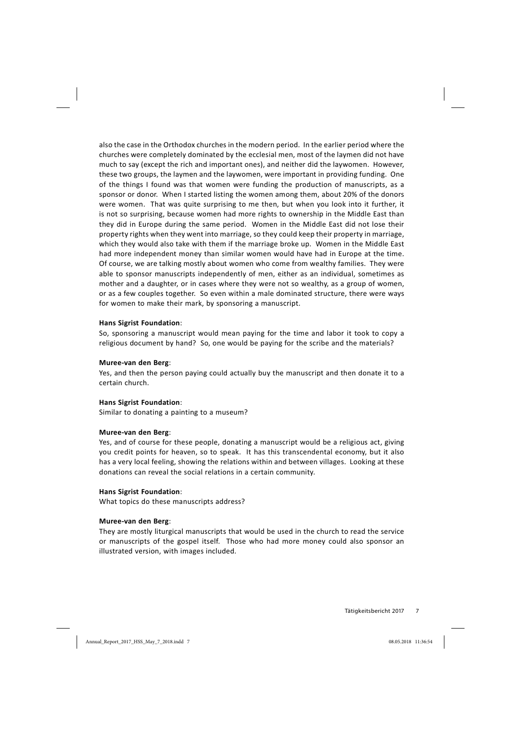also the case in the Orthodox churches in the modern period. In the earlier period where the churches were completely dominated by the ecclesial men, most of the laymen did not have much to say (except the rich and important ones), and neither did the laywomen. However, these two groups, the laymen and the laywomen, were important in providing funding. One of the things I found was that women were funding the production of manuscripts, as a sponsor or donor. When I started listing the women among them, about 20% of the donors were women. That was quite surprising to me then, but when you look into it further, it is not so surprising, because women had more rights to ownership in the Middle East than they did in Europe during the same period. Women in the Middle East did not lose their property rights when they went into marriage, so they could keep their property in marriage, which they would also take with them if the marriage broke up. Women in the Middle East had more independent money than similar women would have had in Europe at the time. Of course, we are talking mostly about women who come from wealthy families. They were able to sponsor manuscripts independently of men, either as an individual, sometimes as mother and a daughter, or in cases where they were not so wealthy, as a group of women, or as a few couples together. So even within a male dominated structure, there were ways for women to make their mark, by sponsoring a manuscript.

#### **Hans Sigrist Foundation**:

So, sponsoring a manuscript would mean paying for the time and labor it took to copy a religious document by hand? So, one would be paying for the scribe and the materials?

#### **Muree-van den Berg**:

Yes, and then the person paying could actually buy the manuscript and then donate it to a certain church.

#### **Hans Sigrist Foundation**:

Similar to donating a painting to a museum?

#### **Muree-van den Berg**:

Yes, and of course for these people, donating a manuscript would be a religious act, giving you credit points for heaven, so to speak. It has this transcendental economy, but it also has a very local feeling, showing the relations within and between villages. Looking at these donations can reveal the social relations in a certain community.

#### **Hans Sigrist Foundation**:

What topics do these manuscripts address?

#### **Muree-van den Berg**:

They are mostly liturgical manuscripts that would be used in the church to read the service or manuscripts of the gospel itself. Those who had more money could also sponsor an illustrated version, with images included.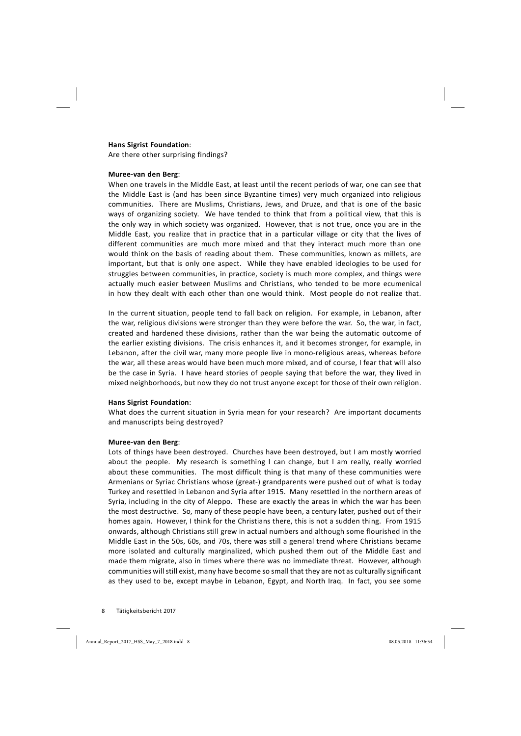#### **Hans Sigrist Foundation**:

Are there other surprising findings?

#### **Muree-van den Berg**:

When one travels in the Middle East, at least until the recent periods of war, one can see that the Middle East is (and has been since Byzantine times) very much organized into religious communities. There are Muslims, Christians, Jews, and Druze, and that is one of the basic ways of organizing society. We have tended to think that from a political view, that this is the only way in which society was organized. However, that is not true, once you are in the Middle East, you realize that in practice that in a particular village or city that the lives of different communities are much more mixed and that they interact much more than one would think on the basis of reading about them. These communities, known as millets, are important, but that is only one aspect. While they have enabled ideologies to be used for struggles between communities, in practice, society is much more complex, and things were actually much easier between Muslims and Christians, who tended to be more ecumenical in how they dealt with each other than one would think. Most people do not realize that.

In the current situation, people tend to fall back on religion. For example, in Lebanon, after the war, religious divisions were stronger than they were before the war. So, the war, in fact, created and hardened these divisions, rather than the war being the automatic outcome of the earlier existing divisions. The crisis enhances it, and it becomes stronger, for example, in Lebanon, after the civil war, many more people live in mono-religious areas, whereas before the war, all these areas would have been much more mixed, and of course, I fear that will also be the case in Syria. I have heard stories of people saying that before the war, they lived in mixed neighborhoods, but now they do not trust anyone except for those of their own religion.

#### **Hans Sigrist Foundation**:

What does the current situation in Syria mean for your research? Are important documents and manuscripts being destroyed?

#### **Muree-van den Berg**:

Lots of things have been destroyed. Churches have been destroyed, but I am mostly worried about the people. My research is something I can change, but I am really, really worried about these communities. The most difficult thing is that many of these communities were Armenians or Syriac Christians whose (great) grandparents were pushed out of what is today Turkey and resettled in Lebanon and Syria after 1915. Many resettled in the northern areas of Syria, including in the city of Aleppo. These are exactly the areas in which the war has been the most destructive. So, many of these people have been, a century later, pushed out of their homes again. However, I think for the Christians there, this is not a sudden thing. From 1915 onwards, although Christians still grew in actual numbers and although some flourished in the Middle East in the 50s, 60s, and 70s, there was still a general trend where Christians became more isolated and culturally marginalized, which pushed them out of the Middle East and made them migrate, also in times where there was no immediate threat. However, although communities will still exist, many have become so small that they are not as culturally significant as they used to be, except maybe in Lebanon, Egypt, and North Iraq. In fact, you see some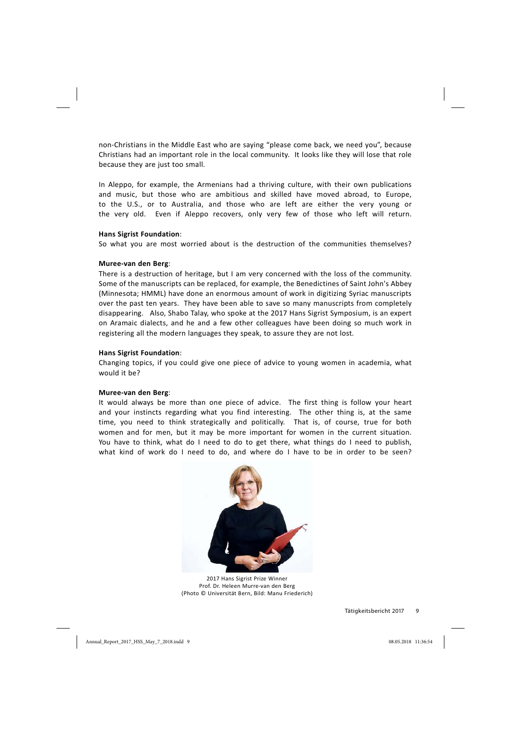non-Christians in the Middle East who are saying "please come back, we need you", because Christians had an important role in the local community. It looks like they will lose that role because they are just too small.

In Aleppo, for example, the Armenians had a thriving culture, with their own publications and music, but those who are ambitious and skilled have moved abroad, to Europe, to the U.S., or to Australia, and those who are left are either the very young or the very old. Even if Aleppo recovers, only very few of those who left will return.

#### **Hans Sigrist Foundation**:

So what you are most worried about is the destruction of the communities themselves?

#### **Muree-van den Berg**:

There is a destruction of heritage, but I am very concerned with the loss of the community. Some of the manuscripts can be replaced, for example, the Benedictines of Saint John's Abbey (Minnesota; HMML) have done an enormous amount of work in digitizing Syriac manuscripts over the past ten years. They have been able to save so many manuscripts from completely disappearing. Also, Shabo Talay, who spoke at the 2017 Hans Sigrist Symposium, is an expert on Aramaic dialects, and he and a few other colleagues have been doing so much work in registering all the modern languages they speak, to assure they are not lost.

#### **Hans Sigrist Foundation**:

Changing topics, if you could give one piece of advice to young women in academia, what would it be?

#### **Muree-van den Berg**:

It would always be more than one piece of advice. The first thing is follow your heart and your instincts regarding what you find interesting. The other thing is, at the same time, you need to think strategically and politically. That is, of course, true for both women and for men, but it may be more important for women in the current situation. You have to think, what do I need to do to get there, what things do I need to publish, what kind of work do I need to do, and where do I have to be in order to be seen?



2017 Hans Sigrist Prize Winner Prof. Dr. Heleen Murre-van den Berg (Photo © Universität Bern, Bild: Manu Friederich)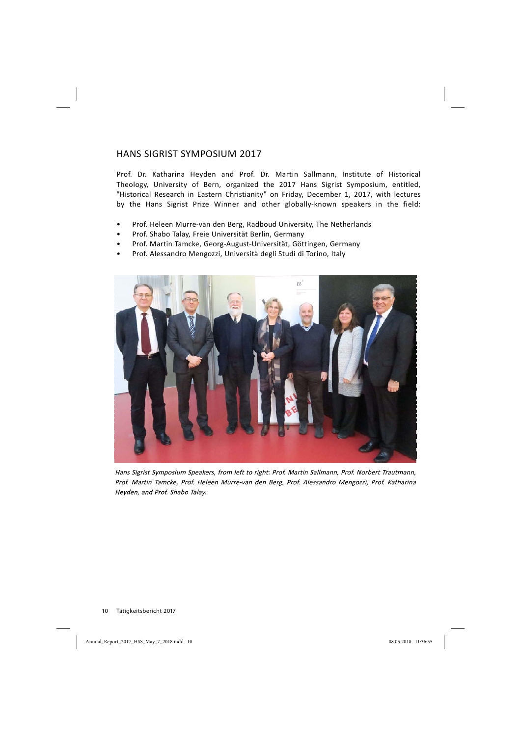## HANS SIGRIST SYMPOSIUM 2017

Prof. Dr. Katharina Heyden and Prof. Dr. Martin Sallmann, Institute of Historical Theology, University of Bern, organized the 2017 Hans Sigrist Symposium, entitled, "Historical Research in Eastern Christianity" on Friday, December 1, 2017, with lectures by the Hans Sigrist Prize Winner and other globally-known speakers in the field:

- Prof. Heleen Murre-van den Berg, Radboud University, The Netherlands
- Prof. Shabo Talay, Freie Universität Berlin, Germany
- Prof. Martin Tamcke, Georg-August-Universität, Göttingen, Germany
- Prof. Alessandro Mengozzi, Università degli Studi di Torino, Italy



Hans Sigrist Symposium Speakers, from left to right: Prof. Martin Sallmann, Prof. Norbert Trautmann, Prof. Martin Tamcke, Prof. Heleen Murre-van den Berg, Prof. Alessandro Mengozzi, Prof. Katharina Heyden, and Prof. Shabo Talay.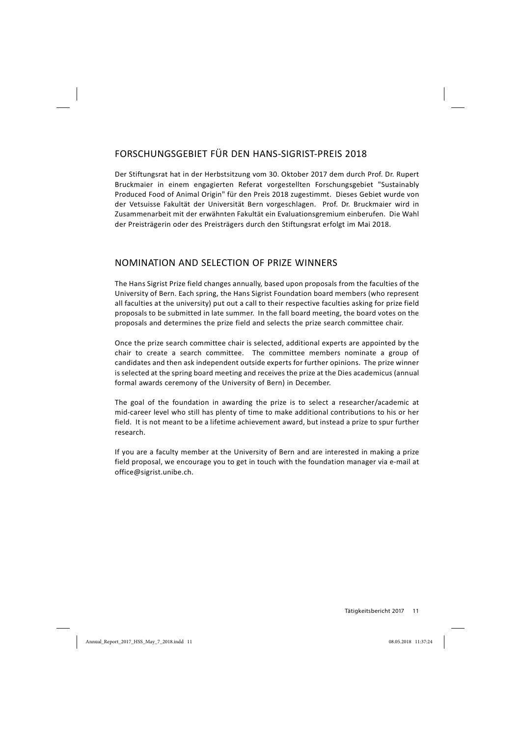## FORSCHUNGSGEBIET FÜR DEN HANSSIGRISTPREIS 2018

Der Stiftungsrat hat in der Herbstsitzung vom 30. Oktober 2017 dem durch Prof. Dr. Rupert Bruckmaier in einem engagierten Referat vorgestellten Forschungsgebiet "Sustainably Produced Food of Animal Origin" für den Preis 2018 zugestimmt. Dieses Gebiet wurde von der Vetsuisse Fakultät der Universität Bern vorgeschlagen. Prof. Dr. Bruckmaier wird in Zusammenarbeit mit der erwähnten Fakultät ein Evaluationsgremium einberufen. Die Wahl der Preisträgerin oder des Preisträgers durch den Stiftungsrat erfolgt im Mai 2018.

## NOMINATION AND SELECTION OF PRIZE WINNERS

The Hans Sigrist Prize field changes annually, based upon proposals from the faculties of the University of Bern. Each spring, the Hans Sigrist Foundation board members (who represent all faculties at the university) put out a call to their respective faculties asking for prize field proposals to be submitted in late summer. In the fall board meeting, the board votes on the proposals and determines the prize field and selects the prize search committee chair.

Once the prize search committee chair is selected, additional experts are appointed by the chair to create a search committee. The committee members nominate a group of candidates and then ask independent outside experts for further opinions. The prize winner is selected at the spring board meeting and receives the prize at the Dies academicus (annual formal awards ceremony of the University of Bern) in December.

The goal of the foundation in awarding the prize is to select a researcher/academic at mid-career level who still has plenty of time to make additional contributions to his or her field. It is not meant to be a lifetime achievement award, but instead a prize to spur further research.

If you are a faculty member at the University of Bern and are interested in making a prize field proposal, we encourage you to get in touch with the foundation manager via e-mail at office@sigrist.unibe.ch.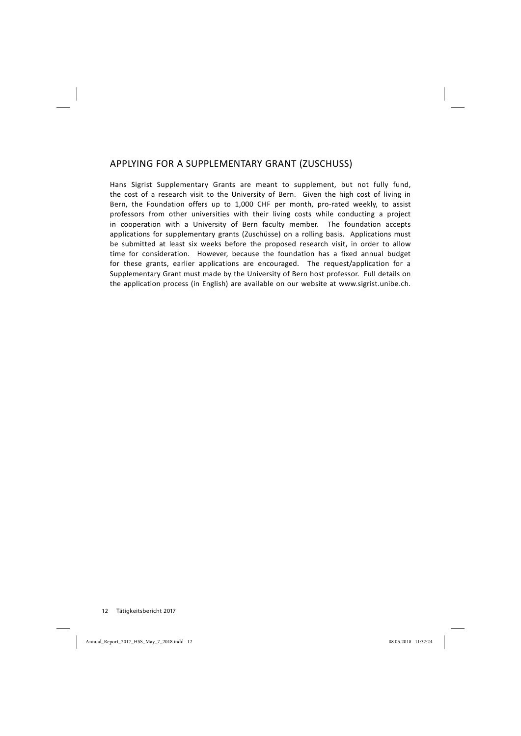## APPLYING FOR A SUPPLEMENTARY GRANT (ZUSCHUSS)

Hans Sigrist Supplementary Grants are meant to supplement, but not fully fund, the cost of a research visit to the University of Bern. Given the high cost of living in Bern, the Foundation offers up to 1,000 CHF per month, pro-rated weekly, to assist professors from other universities with their living costs while conducting a project in cooperation with a University of Bern faculty member. The foundation accepts applications for supplementary grants (Zuschüsse) on a rolling basis. Applications must be submitted at least six weeks before the proposed research visit, in order to allow time for consideration. However, because the foundation has a fixed annual budget for these grants, earlier applications are encouraged. The request/application for a Supplementary Grant must made by the University of Bern host professor. Full details on the application process (in English) are available on our website at www.sigrist.unibe.ch.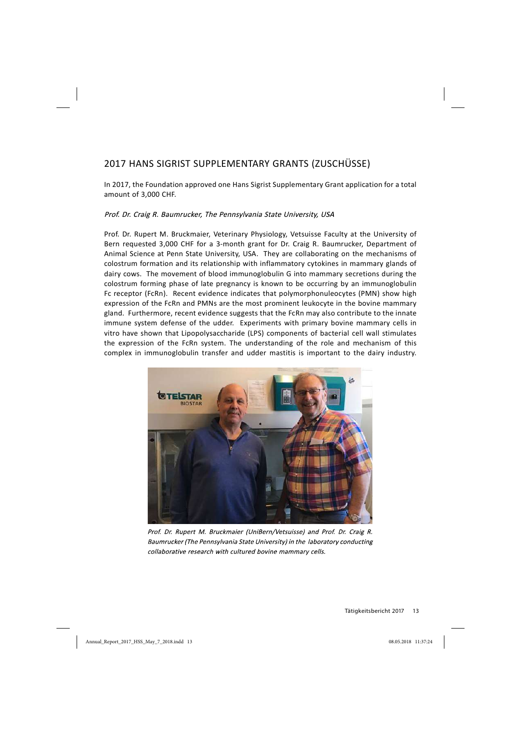## 2017 HANS SIGRIST SUPPLEMENTARY GRANTS (ZUSCHÜSSE)

In 2017, the Foundation approved one Hans Sigrist Supplementary Grant application for a total amount of 3,000 CHF.

#### Prof. Dr. Craig R. Baumrucker, The Pennsylvania State University, USA

Prof. Dr. Rupert M. Bruckmaier, Veterinary Physiology, Vetsuisse Faculty at the University of Bern requested 3,000 CHF for a 3-month grant for Dr. Craig R. Baumrucker, Department of Animal Science at Penn State University, USA. They are collaborating on the mechanisms of colostrum formation and its relationship with inflammatory cytokines in mammary glands of dairy cows. The movement of blood immunoglobulin G into mammary secretions during the colostrum forming phase of late pregnancy is known to be occurring by an immunoglobulin Fc receptor (FcRn). Recent evidence indicates that polymorphonuleocytes (PMN) show high expression of the FcRn and PMNs are the most prominent leukocyte in the bovine mammary gland. Furthermore, recent evidence suggests that the FcRn may also contribute to the innate immune system defense of the udder. Experiments with primary bovine mammary cells in vitro have shown that Lipopolysaccharide (LPS) components of bacterial cell wall stimulates the expression of the FcRn system. The understanding of the role and mechanism of this complex in immunoglobulin transfer and udder mastitis is important to the dairy industry.



Prof. Dr. Rupert M. Bruckmaier (UniBern/Vetsuisse) and Prof. Dr. Craig R. Baumrucker (The Pennsylvania State University) in the laboratory conducting collaborative research with cultured bovine mammary cells.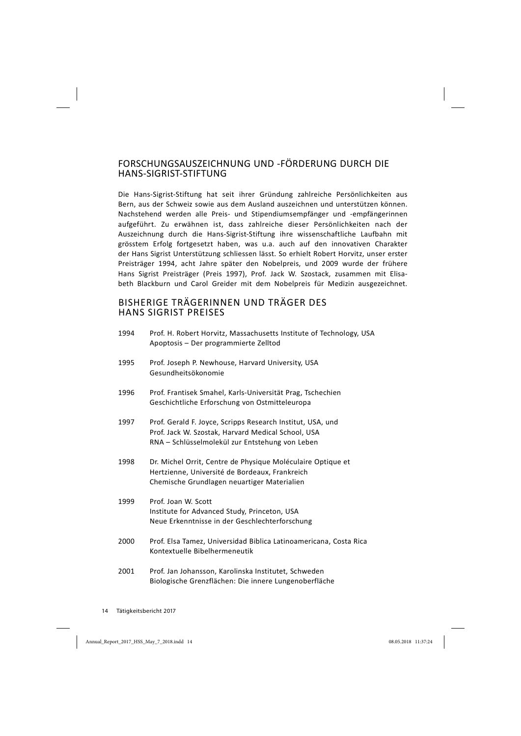### FORSCHUNGSAUSZEICHNUNG UND FÖRDERUNG DURCH DIE HANS-SIGRIST-STIFTUNG

Die Hans-Sigrist-Stiftung hat seit ihrer Gründung zahlreiche Persönlichkeiten aus Bern, aus der Schweiz sowie aus dem Ausland auszeichnen und unterstützen können. Nachstehend werden alle Preis- und Stipendiumsempfänger und -empfängerinnen aufgeführt. Zu erwähnen ist, dass zahlreiche dieser Persönlichkeiten nach der Auszeichnung durch die Hans-Sigrist-Stiftung ihre wissenschaftliche Laufbahn mit grösstem Erfolg fortgesetzt haben, was u.a. auch auf den innovativen Charakter der Hans Sigrist Unterstützung schliessen lässt. So erhielt Robert Horvitz, unser erster Preisträger 1994, acht Jahre später den Nobelpreis, und 2009 wurde der frühere Hans Sigrist Preisträger (Preis 1997), Prof. Jack W. Szostack, zusammen mit Elisabeth Blackburn und Carol Greider mit dem Nobelpreis für Medizin ausgezeichnet.

## BISHERIGE TRÄGERINNEN UND TRÄGER DES HANS SIGRIST PREISES

| 1994 | Prof. H. Robert Horvitz, Massachusetts Institute of Technology, USA<br>Apoptosis - Der programmierte Zelltod                                                        |
|------|---------------------------------------------------------------------------------------------------------------------------------------------------------------------|
| 1995 | Prof. Joseph P. Newhouse, Harvard University, USA<br>Gesundheitsökonomie                                                                                            |
| 1996 | Prof. Frantisek Smahel, Karls-Universität Prag, Tschechien<br>Geschichtliche Erforschung von Ostmitteleuropa                                                        |
| 1997 | Prof. Gerald F. Joyce, Scripps Research Institut, USA, und<br>Prof. Jack W. Szostak, Harvard Medical School, USA<br>RNA - Schlüsselmolekül zur Entstehung von Leben |
| 1998 | Dr. Michel Orrit, Centre de Physique Moléculaire Optique et<br>Hertzienne, Université de Bordeaux, Frankreich<br>Chemische Grundlagen neuartiger Materialien        |
| 1999 | Prof. Joan W. Scott<br>Institute for Advanced Study, Princeton, USA<br>Neue Erkenntnisse in der Geschlechterforschung                                               |
| 2000 | Prof. Elsa Tamez, Universidad Biblica Latinoamericana, Costa Rica<br>Kontextuelle Bibelhermeneutik                                                                  |
| 2001 | Prof. Jan Johansson, Karolinska Institutet, Schweden<br>Biologische Grenzflächen: Die innere Lungenoberfläche                                                       |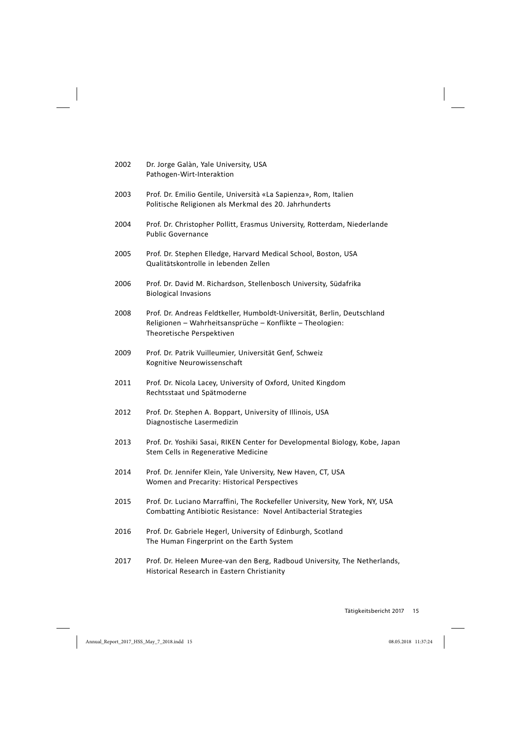| 2002 | Dr. Jorge Galàn, Yale University, USA<br>Pathogen-Wirt-Interaktion                                                                                                 |
|------|--------------------------------------------------------------------------------------------------------------------------------------------------------------------|
| 2003 | Prof. Dr. Emilio Gentile, Università «La Sapienza», Rom, Italien<br>Politische Religionen als Merkmal des 20. Jahrhunderts                                         |
| 2004 | Prof. Dr. Christopher Pollitt, Erasmus University, Rotterdam, Niederlande<br><b>Public Governance</b>                                                              |
| 2005 | Prof. Dr. Stephen Elledge, Harvard Medical School, Boston, USA<br>Qualitätskontrolle in lebenden Zellen                                                            |
| 2006 | Prof. Dr. David M. Richardson, Stellenbosch University, Südafrika<br><b>Biological Invasions</b>                                                                   |
| 2008 | Prof. Dr. Andreas Feldtkeller, Humboldt-Universität, Berlin, Deutschland<br>Religionen - Wahrheitsansprüche - Konflikte - Theologien:<br>Theoretische Perspektiven |
| 2009 | Prof. Dr. Patrik Vuilleumier, Universität Genf, Schweiz<br>Kognitive Neurowissenschaft                                                                             |
| 2011 | Prof. Dr. Nicola Lacey, University of Oxford, United Kingdom<br>Rechtsstaat und Spätmoderne                                                                        |
| 2012 | Prof. Dr. Stephen A. Boppart, University of Illinois, USA<br>Diagnostische Lasermedizin                                                                            |
| 2013 | Prof. Dr. Yoshiki Sasai, RIKEN Center for Developmental Biology, Kobe, Japan<br>Stem Cells in Regenerative Medicine                                                |
| 2014 | Prof. Dr. Jennifer Klein, Yale University, New Haven, CT, USA<br>Women and Precarity: Historical Perspectives                                                      |
| 2015 | Prof. Dr. Luciano Marraffini, The Rockefeller University, New York, NY, USA<br>Combatting Antibiotic Resistance: Novel Antibacterial Strategies                    |
| 2016 | Prof. Dr. Gabriele Hegerl, University of Edinburgh, Scotland<br>The Human Fingerprint on the Earth System                                                          |
| 2017 | Prof. Dr. Heleen Muree-van den Berg, Radboud University, The Netherlands,<br>Historical Research in Eastern Christianity                                           |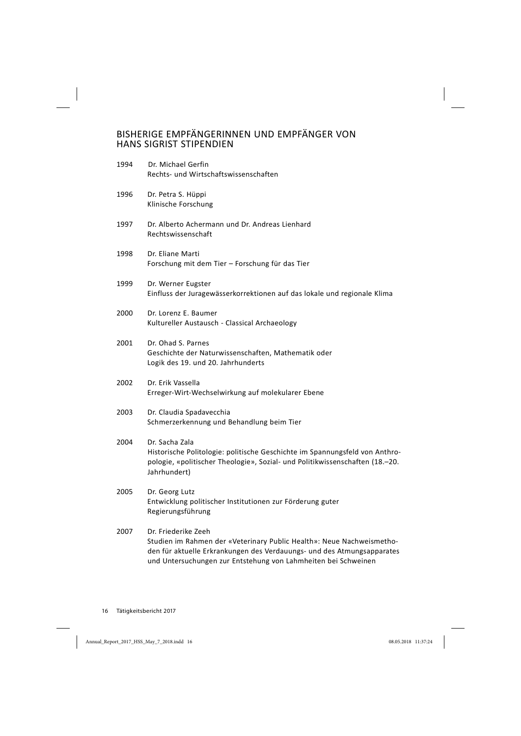## BISHERIGE EMPFÄNGERINNEN UND EMPFÄNGER VON HANS SIGRIST STIPENDIEN

| 1994 | Dr. Michael Gerfin<br>Rechts- und Wirtschaftswissenschaften                                                                                                                                   |
|------|-----------------------------------------------------------------------------------------------------------------------------------------------------------------------------------------------|
| 1996 | Dr. Petra S. Hüppi<br>Klinische Forschung                                                                                                                                                     |
| 1997 | Dr. Alberto Achermann und Dr. Andreas Lienhard<br>Rechtswissenschaft                                                                                                                          |
| 1998 | Dr. Eliane Marti<br>Forschung mit dem Tier - Forschung für das Tier                                                                                                                           |
| 1999 | Dr. Werner Eugster<br>Einfluss der Juragewässerkorrektionen auf das lokale und regionale Klima                                                                                                |
| 2000 | Dr. Lorenz E. Baumer<br>Kultureller Austausch - Classical Archaeology                                                                                                                         |
| 2001 | Dr. Ohad S. Parnes<br>Geschichte der Naturwissenschaften, Mathematik oder<br>Logik des 19. und 20. Jahrhunderts                                                                               |
| 2002 | Dr. Erik Vassella<br>Erreger-Wirt-Wechselwirkung auf molekularer Ebene                                                                                                                        |
| 2003 | Dr. Claudia Spadavecchia<br>Schmerzerkennung und Behandlung beim Tier                                                                                                                         |
| 2004 | Dr. Sacha Zala<br>Historische Politologie: politische Geschichte im Spannungsfeld von Anthro-<br>pologie, «politischer Theologie», Sozial- und Politikwissenschaften (18.–20.<br>Jahrhundert) |
| 2005 | Dr. Georg Lutz<br>Entwicklung politischer Institutionen zur Förderung guter<br>Regierungsführung                                                                                              |
| 2007 | Dr. Friederike Zeeh<br>Studien im Rahmen der «Veterinary Public Health»: Neue Nachweismetho-<br>den für aktuelle Erkrankungen des Verdauungs- und des Atmungsapparates                        |

und Untersuchungen zur Entstehung von Lahmheiten bei Schweinen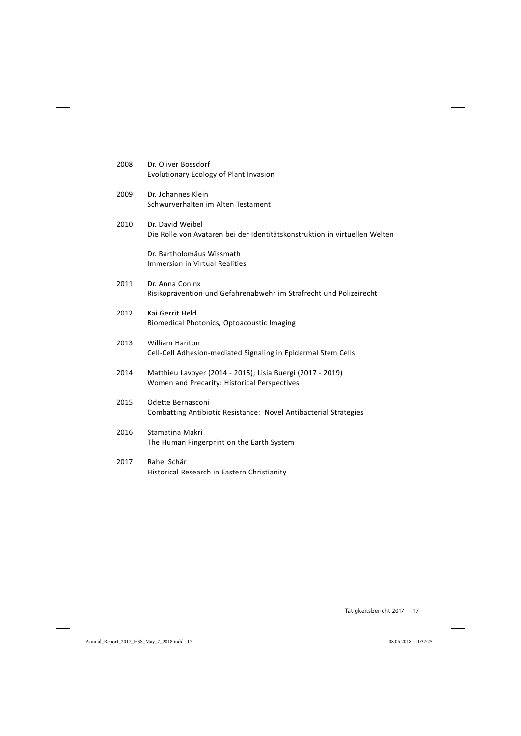| 2008 | Dr. Oliver Bossdorf<br>Evolutionary Ecology of Plant Invasion              |
|------|----------------------------------------------------------------------------|
|      |                                                                            |
| 2009 | Dr. Johannes Klein                                                         |
|      | Schwurverhalten im Alten Testament                                         |
| 2010 | Dr. David Weibel                                                           |
|      | Die Rolle von Avataren bei der Identitätskonstruktion in virtuellen Welten |
|      | Dr. Bartholomäus Wissmath                                                  |
|      | Immersion in Virtual Realities                                             |
| 2011 | Dr. Anna Coninx                                                            |
|      | Risikoprävention und Gefahrenabwehr im Strafrecht und Polizeirecht         |
| 2012 | Kai Gerrit Held                                                            |
|      | Biomedical Photonics, Optoacoustic Imaging                                 |
| 2013 | <b>William Hariton</b>                                                     |
|      | Cell-Cell Adhesion-mediated Signaling in Epidermal Stem Cells              |
| 2014 | Matthieu Lavoyer (2014 - 2015); Lisia Buergi (2017 - 2019)                 |
|      | Women and Precarity: Historical Perspectives                               |
| 2015 | Odette Bernasconi                                                          |
|      | Combatting Antibiotic Resistance: Novel Antibacterial Strategies           |
| 2016 | Stamatina Makri                                                            |
|      | The Human Fingerprint on the Earth System                                  |
| 2017 | Rahel Schär                                                                |
|      | Historical Research in Eastern Christianity                                |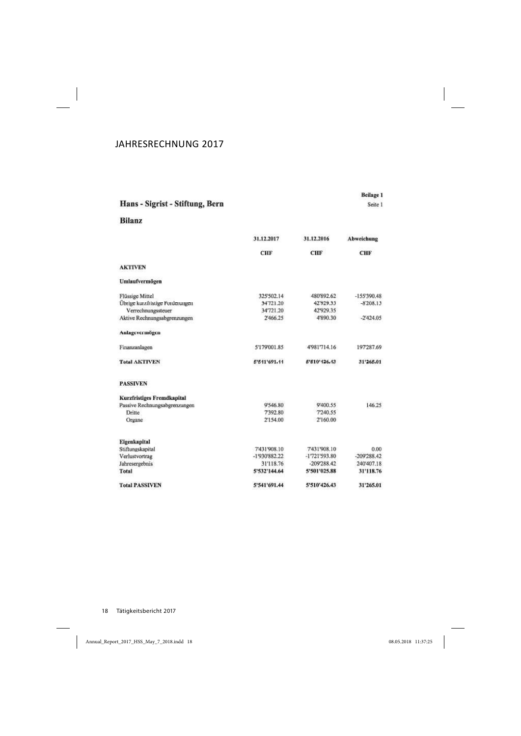## JAHRESRECHNUNG 2017

## Hans - Sigrist - Stiftung, Bern

Beilage 1 Seite 1

**Bilanz** 

|                                 | 31.12.2017    | 31.12.2016      | Abweichung    |
|---------------------------------|---------------|-----------------|---------------|
|                                 | <b>CHF</b>    | <b>CHF</b>      | <b>CHF</b>    |
| <b>AKTIVEN</b>                  |               |                 |               |
| Umlaufvermögen                  |               |                 |               |
| Flüssige Mittel                 | 325'502.14    | 480'892.62      | $-155'390.48$ |
| Übrige kurzfristige Forderungen | 34'721.20     | 42'929.35       | $-8'208.15$   |
| Verrechnungssteuer              | 34'721.20     | 42'929.35       |               |
| Aktive Rechnungsabgrenzungen    | 2'466.25      | 4'890.30        | $-2'424.05$   |
| Anlagevermögen                  |               |                 |               |
| Finanzanlagen                   | 5'179'001.85  | 4'981'714.16    | 197287.69     |
| <b>Total AKTIVEN</b>            | 5'541'691.44  | 5'510'426.43    | 31'265.01     |
| <b>PASSIVEN</b>                 |               |                 |               |
| Kurzfristiges Fremdkapital      |               |                 |               |
| Passive Rechnungsabgrenzungen   | 9'546.80      | 9'400.55        | 146.25        |
| Dritte                          | 7'392.80      | 7'240.55        |               |
| Organe                          | 2'154.00      | 2'160.00        |               |
| Eigenkapital                    |               |                 |               |
| Stiftungskapital                | 7'431'908.10  | 7'431'908.10    | 0.00          |
| Verlustvortrag                  | -1'930'882.22 | $-1'721'593.80$ | $-209'288.42$ |
| Jahresergebnis                  | 31'118.76     | $-209'288.42$   | 240'407.18    |
| Total                           | 5'532'144.64  | 5'501'025.88    | 31'118.76     |
| <b>Total PASSIVEN</b>           | 5'541'691.44  | 5'510'426.43    | 31'265.01     |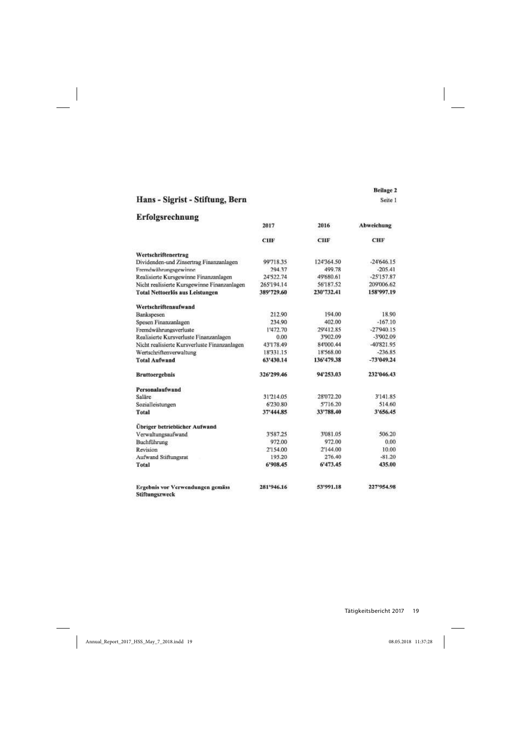## Hans - Sigrist - Stiftung, Bern

## Erfolgsrechnung

| un roman evinnung                                  | 2017       | 2016       | Abweichung   |
|----------------------------------------------------|------------|------------|--------------|
|                                                    | <b>CHF</b> | <b>CHF</b> | <b>CHF</b>   |
| Wertschriftenertrag                                |            |            |              |
| Dividenden-und Zinsertrag Finanzanlagen            | 99'718.35  | 124'364.50 | $-24646.15$  |
| Fremdwährungsgewinne                               | 294.37     | 499.78     | $-205.41$    |
| Realisierte Kursgewinne Finanzanlagen              | 24'522.74  | 49'680.61  | $-25'157.87$ |
| Nicht realisierte Kursgewinne Finanzanlagen        | 265'194.14 | 56'187.52  | 209'006.62   |
| <b>Total Nettoerlös aus Leistungen</b>             | 389'729.60 | 230'732.41 | 158'997.19   |
| Wertschriftenaufwand                               |            |            |              |
| Bankspesen                                         | 212.90     | 194.00     | 18.90        |
| Spesen Finanzanlagen                               | 234.90     | 402.00     | $-167.10$    |
| Fremdwährungsverluste                              | 1'472.70   | 29'412.85  | $-27940.15$  |
| Realisierte Kursverluste Finanzanlagen             | 0.00       | 3'902.09   | -3'902.09    |
| Nicht realisierte Kursverluste Finanzanlagen       | 43'178.49  | 84'000.44  | $-40'821.95$ |
| Wertschriftenverwaltung                            | 18'331.15  | 18'568.00  | $-236.85$    |
| <b>Total Aufwand</b>                               | 63'430.14  | 136'479.38 | $-73'049.24$ |
| <b>Bruttoergebnis</b>                              | 326'299.46 | 94'253.03  | 232'046.43   |
| Personalaufwand                                    |            |            |              |
| Saläre                                             | 31'214.05  | 28'072.20  | 3'141.85     |
| Sozialleistungen                                   | 6'230.80   | 5'716.20   | 514.60       |
| <b>Total</b>                                       | 37'444.85  | 33'788.40  | 3'656.45     |
| Übriger betrieblicher Aufwand                      |            |            |              |
| Verwaltungsaufwand                                 | 3'587.25   | 3'081.05   | 506.20       |
| Buchführung                                        | 972.00     | 972.00     | 0.00         |
| Revision                                           | 2'154.00   | 2'144.00   | 10.00        |
| Aufwand Stiftungsrat                               | 195.20     | 276.40     | $-81.20$     |
| Total                                              | 6'908.45   | 6'473.45   | 435.00       |
| Ergebnis vor Verwendungen gemäss<br>Stiftungszweck | 281'946.16 | 53'991.18  | 227'954.98   |

Beilage 2

Seite 1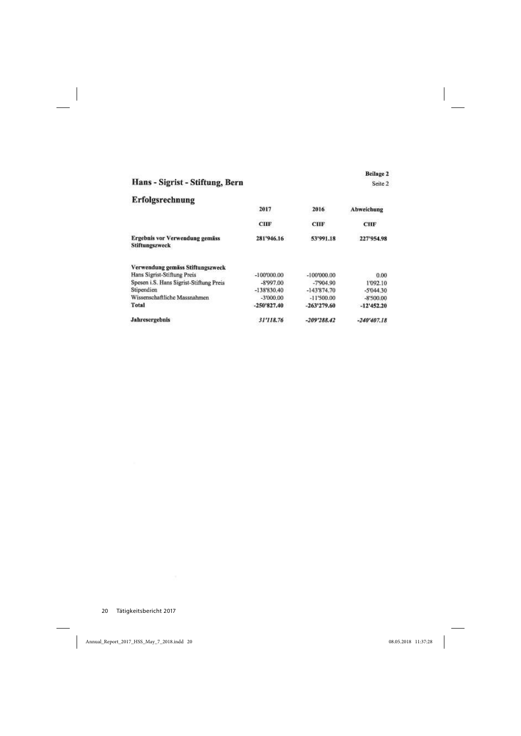## Hans - Sigrist - Stiftung, Bern

| Erfolgsrechnung                                  |               |               |               |
|--------------------------------------------------|---------------|---------------|---------------|
|                                                  | 2017          | 2016          | Abweichung    |
|                                                  | <b>CHF</b>    | <b>CHF</b>    | <b>CHF</b>    |
| Ergebnis vor Verwendung gemäss<br>Stiftungszweck | 281'946.16    | 53'991.18     | 227'954.98    |
| Verwendung gemäss Stiftungszweck                 |               |               |               |
| Hans Sigrist-Stiftung Preis                      | $-100'000.00$ | $-100000.00$  | 0.00          |
| Spesen i.S. Hans Sigrist-Stiftung Preis          | $-8'997.00$   | $-7904.90$    | 1'092.10      |
| Stipendien                                       | $-138'830.40$ | $-143'874.70$ | $-5'044.30$   |
| Wissenschaftliche Massnahmen                     | $-3'000.00$   | $-11'500.00$  | $-8500.00$    |
| Total                                            | $-250'827.40$ | $-263'279.60$ | $-12'452.20$  |
| <b><i><u>Jahresergebnis</u></i></b>              | 31'118.76     | $-209'288.42$ | $-240'407.18$ |

Beilage 2

Seite 2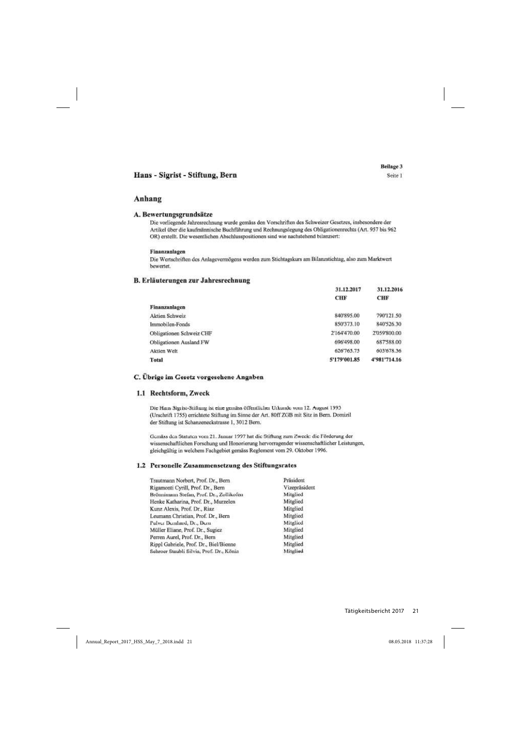#### Hans - Sigrist - Stiftung, Bern

Seite 1

#### Anhang

#### A. Bewertungsgrundsätze

Die vorliegende Jahresrechnung wurde gemäss den Vorschriften des Schweizer Gesetzes, insbesondere der Artikel über die kaufmännische Buchführung und Rechnungslegung des Obligationenrechts (Art. 957 bis 962 OR) erstellt. Die wesentlichen Abschlusspositionen sind wie nachstehend bilanziert:

#### Finanzanlagen

Die Wertschriften des Anlagevermögens werden zum Stichtagskurs am Bilanzstichtag, also zum Marktwert bewertet.

#### B. Erläuterungen zur Jahresrechnung

|                          | 31.12.2017   | 31.12.2016   |
|--------------------------|--------------|--------------|
|                          | <b>CHF</b>   | <b>CHF</b>   |
| Finanzanlagen            |              |              |
| Aktien Schweiz           | 840'895.00   | 790'121.50   |
| Immobilen-Fonds          | 850'373.10   | 840'526.30   |
| Obligationen Schweiz CHF | 2'164'470.00 | 2'059'800.00 |
| Obligationen Ausland FW  | 696'498.00   | 687'588.00   |
| Aktien Welt              | 626'765.75   | 603'678.36   |
| Total                    | 5'179'001.85 | 4'981'714.16 |
|                          |              |              |

#### C. Übrige im Gesetz vorgesehene Angaben

#### 1.1 Rechtsform, Zweck

Die Hans Sigrist-Stiftung ist eine gemäss öffentlicher Urkunde vom 12. August 1993 (Urschrift 1755) errichtete Stiftung im Sinne der Art. 80ff ZGB mit Sitz in Bern. Domizil der Stiftung ist Schanzeneckstrasse 1, 3012 Bern.

Gemäss den Statuten vom 21. Januar 1997 hat die Stiftung zum Zweek: die Förderung der wissenschaftlichen Forschung und Honorierung hervorragender wissenschaftlicher Leistungen, gleichgültig in welchem Fachgebiet gemäss Reglement vom 29. Oktober 1996.

#### 1.2 Personelle Zusammensetzung des Stiftungsrates

| Trautmann Norbert, Prof. Dr., Bern       | Präsident     |
|------------------------------------------|---------------|
| Rigamonti Cyrill, Prof. Dr., Bern        | Vizepräsident |
| Brönnimann Stefan, Prof. Dr., Zollikofen | Mitglied      |
| Henke Katharina, Prof. Dr., Murzelen     | Mitglied      |
| Kunz Alexis, Prof. Dr., Riaz             | Mitglied      |
| Leumann Christian, Prof. Dr., Bern       | Mitglied      |
| Pulver Bernhard, Dr., Bern               | Mitglied      |
| Müller Eliane, Prof. Dr., Sugiez         | Mitglied      |
| Perren Aurel, Prof. Dr., Bern            | Mitglied      |
| Rippl Gabriele, Prof. Dr., Biel/Bienne   | Mitglied      |
| Schroer Staubli Silvia, Prof. Dr., Köniz | Mitglied      |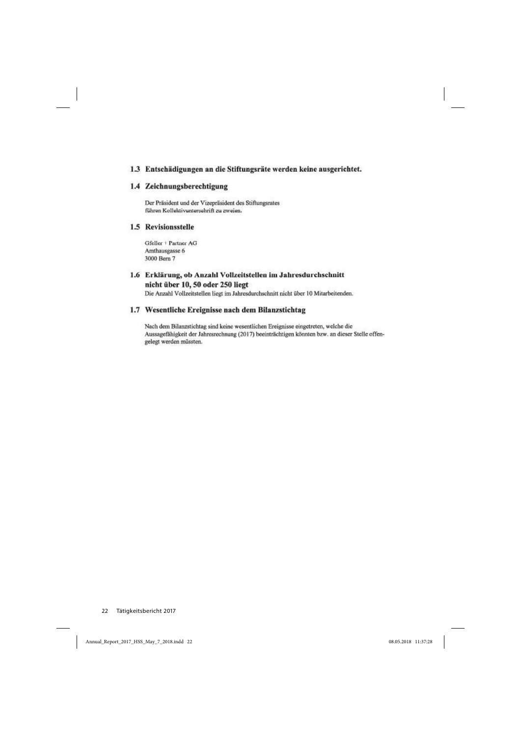#### 1.3 Entschädigungen an die Stiftungsräte werden keine ausgerichtet.

#### 1.4 Zeichnungsberechtigung

Der Präsident und der Vizepräsident des Stiftungsrates führen Kollektivunterschrift zu zweien.

#### 1.5 Revisionsstelle

Gfeller + Partner AG Amthausgasse 6 3000 Bern 7

#### 1.6 Erklärung, ob Anzahl Vollzeitstellen im Jahresdurchschnitt nicht über 10, 50 oder 250 liegt

Die Anzahl Vollzeitstellen liegt im Jahresdurchschnitt nicht über 10 Mitarbeitenden.

#### 1.7 Wesentliche Ereignisse nach dem Bilanzstichtag

Nach dem Bilanzstichtag sind keine wesentlichen Ereignisse eingetreten, welche die Aussagefähigkeit der Jahresrechnung (2017) beeinträchtigen könnten bzw. an dieser Stelle offengelegt werden müssten.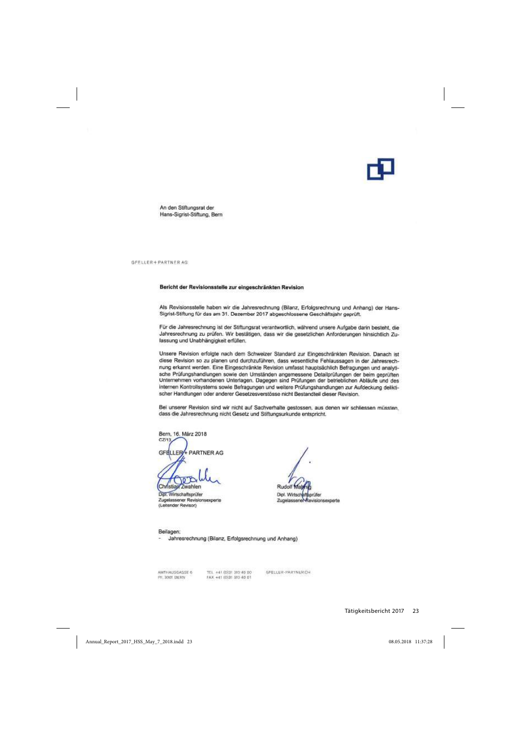

An den Stiftungsrat der Hans-Sigrist-Stiftung, Bern

**GEELLER+PARTNER AG** 

#### Bericht der Revisionsstelle zur eingeschränkten Revision

Als Revisionsstelle haben wir die Jahresrechnung (Bilanz, Erfolgsrechnung und Anhang) der Hans-Sigrist-Stiftung für das am 31. Dezember 2017 abgeschlossene Geschäftsjahr geprüft.

Für die Jahresrechnung ist der Stiftungsrat verantwortlich, während unsere Aufgabe darin besteht, die Jahresrechnung zu prüfen. Wir bestätigen, dass wir die gesetzlichen Anforderungen hinsichtlich Zulassung und Unabhängigkeit erfüllen.

Unsere Revision erfolgte nach dem Schweizer Standard zur Eingeschränkten Revision. Danach ist diese Revision so zu planen und durchzuführen, dass wesentliche Fehlaussagen in der Jahresrechnung erkannt werden. Eine Eingeschränkte Revision umfasst hauptsächlich Befragungen und analytische Prüfungshandlungen sowie den Umständen angemessene Detailprüfungen der beim geprüften Unternehmen vorhandenen Unterlagen. Dagegen sind Prüfungen der betrieblichen Abläufe und des internen Kontrollsystems sowie Befragungen und weitere Prüfungshandlungen zur Aufdeckung deliktischer Handlungen oder anderer Gesetzesverstösse nicht Bestandteil dieser Revision.

Bei unserer Revision sind wir nicht auf Sachverhalte gestossen, aus denen wir schliessen müssten. dass die Jahresrechnung nicht Gesetz und Stiftungsurkunde entspricht.

Bern, 16. März 2018  $C7112$ GERU ER PARTNER AG

Christian Zwahlen

Dipl. Wirtschaftsprüfer Zugelassener Revisionsexperie (Leitender Revisor)

Rudolf<sup>*t*</sup>

Dipl. Wirtschaftsprüfer Zugelassener Revisionsexperte

Beilagen:

- Jahresrechnung (Bilanz, Erfolgsrechnung und Anhang)

AMTHAUSGASSE 6 PF: 3001 BERN

TEL: +41.0031.310.40.00 FAX +41 (0)31 310 40 01

GFELLER-PARTNER CH